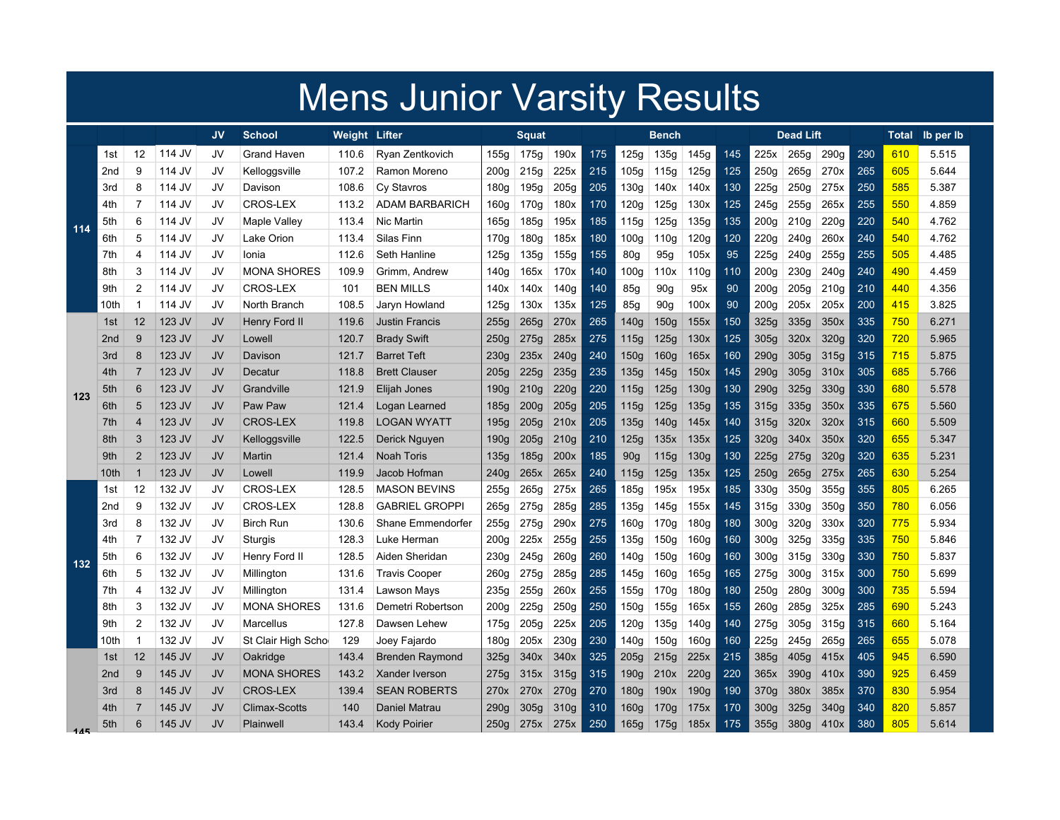|     | <b>Mens Junior Varsity Results</b> |                          |        |           |                     |               |                        |                  |                  |                  |     |                  |                  |                  |     |                  |                  |      |     |       |           |
|-----|------------------------------------|--------------------------|--------|-----------|---------------------|---------------|------------------------|------------------|------------------|------------------|-----|------------------|------------------|------------------|-----|------------------|------------------|------|-----|-------|-----------|
|     |                                    |                          |        | <b>JV</b> | <b>School</b>       | Weight Lifter |                        |                  | <b>Squat</b>     |                  |     |                  | Bench            |                  |     | <b>Dead Lift</b> |                  |      |     | Total | lb per lb |
|     | 1st                                | 12                       | 114 JV | JV        | Grand Haven         | 110.6         | Ryan Zentkovich        | 155a             | 175g             | 190x             | 175 | 125a             | 135g             | 145g             | 145 | 225x             | 265g             | 290q | 290 | 610   | 5.515     |
|     | 2nd                                | 9                        | 114 JV | JV        | Kelloggsville       | 107.2         | Ramon Moreno           | 200 <sub>g</sub> | 215g             | 225x             | 215 | 105g             | 115g             | 125g             | 125 | 250q             | 265g             | 270x | 265 | 605   | 5.644     |
|     | 3rd                                | 8                        | 114 JV | JV        | Davison             | 108.6         | Cy Stavros             | 180q             | 195g             | 205g             | 205 | 130g             | 140x             | 140x             | 130 | 225q             | 250 <sub>g</sub> | 275x | 250 | 585   | 5.387     |
|     | 4th                                | $\overline{7}$           | 114 JV | JV        | CROS-LEX            | 113.2         | <b>ADAM BARBARICH</b>  | 160g             | 170g             | 180x             | 170 | 120g             | 125g             | 130x             | 125 | 245g             | 255g             | 265x | 255 | 550   | 4.859     |
| 114 | 5th                                | 6                        | 114 JV | JV        | Maple Valley        | 113.4         | Nic Martin             | 165g             | 185g             | 195x             | 185 | 115g             | 125g             | 135g             | 135 | 200 <sub>g</sub> | 210g             | 220g | 220 | 540   | 4.762     |
|     | 6th                                | 5                        | 114 JV | JV        | Lake Orion          | 113.4         | Silas Finn             | 170g             | 180g             | 185x             | 180 | 100g             | 110g             | 120g             | 120 | 220g             | 240g             | 260x | 240 | 540   | 4.762     |
|     | 7th                                | $\overline{\mathcal{L}}$ | 114 JV | JV        | Ionia               | 112.6         | Seth Hanline           | 125g             | 135g             | 155g             | 155 | 80g              | 95g              | 105x             | 95  | 225g             | 240g             | 255g | 255 | 505   | 4.485     |
|     | 8th                                | 3                        | 114 JV | JV        | <b>MONA SHORES</b>  | 109.9         | Grimm, Andrew          | 140g             | 165x             | 170x             | 140 | 100g             | 110x             | 110g             | 110 | 200 <sub>g</sub> | 230g             | 240g | 240 | 490   | 4.459     |
|     | 9th                                | $\overline{2}$           | 114 JV | JV        | <b>CROS-LEX</b>     | 101           | <b>BEN MILLS</b>       | 140x             | 140x             | 140 <sub>g</sub> | 140 | 85g              | 90 <sub>g</sub>  | 95x              | 90  | 200g             | 205g             | 210g | 210 | 440   | 4.356     |
|     | 10th                               | -1                       | 114 JV | JV        | North Branch        | 108.5         | Jaryn Howland          | 125a             | 130x             | 135x             | 125 | 85g              | 90q              | 100x             | 90  | 200 <sub>g</sub> | 205x             | 205x | 200 | 415   | 3.825     |
|     | 1st                                | $12 \overline{ }$        | 123 JV | JV        | Henry Ford II       | 119.6         | <b>Justin Francis</b>  | 255q             | 265g             | 270x             | 265 | 140g             | 150q             | 155x             | 150 | 325g             | 335g             | 350x | 335 | 750   | 6.271     |
|     | 2 <sub>nd</sub>                    | 9                        | 123 JV | JV        | Lowell              | 120.7         | <b>Brady Swift</b>     | 250 <sub>g</sub> | 275g             | 285x             | 275 | 115g             | 125g             | 130x             | 125 | 305q             | 320x             | 320g | 320 | 720   | 5.965     |
|     | 3rd                                | 8                        | 123 JV | JV        | Davison             | 121.7         | <b>Barret Teft</b>     | 230g             | 235x             | 240q             | 240 | 150g             | 160 <sub>g</sub> | 165x             | 160 | 290q             | 305g             | 315g | 315 | 715   | 5.875     |
|     | 4th                                | 7                        | 123 JV | JV        | Decatur             | 118.8         | <b>Brett Clauser</b>   | 205q             | 225g             | 235g             | 235 | 135g             | 145g             | 150x             | 145 | 290q             | 305 <sub>g</sub> | 310x | 305 | 685   | 5.766     |
| 123 | 5th                                | 6                        | 123 JV | JV        | Grandville          | 121.9         | Elijah Jones           | 190g             | 210g             | 220g             | 220 | 115g             | 125g             | 130 <sub>g</sub> | 130 | 290q             | 325g             | 330g | 330 | 680   | 5.578     |
|     | 6th                                | 5                        | 123 JV | JV        | Paw Paw             | 121.4         | Logan Learned          | 185g             | 200 <sub>g</sub> | 205g             | 205 | 115g             | 125g             | 135g             | 135 | 315g             | 335g             | 350x | 335 | 675   | 5.560     |
|     | 7th                                | $\overline{4}$           | 123 JV | JV        | <b>CROS-LEX</b>     | 119.8         | <b>LOGAN WYATT</b>     | 195g             | 205g             | 210x             | 205 | 135g             | 140g             | 145x             | 140 | 315g             | 320x             | 320x | 315 | 660   | 5.509     |
|     | 8th                                | 3                        | 123 JV | JV        | Kelloggsville       | 122.5         | Derick Nguyen          | 190 <sub>g</sub> | 205g             | 210g             | 210 | 125g             | 135x             | 135x             | 125 | 320g             | 340x             | 350x | 320 | 655   | 5.347     |
|     | 9th                                | $\overline{2}$           | 123 JV | <b>JV</b> | Martin              | 121.4         | <b>Noah Toris</b>      | 135g             | 185g             | 200x             | 185 | 90 <sub>g</sub>  | 115g             | 130g             | 130 | 225g             | 275g             | 320g | 320 | 635   | 5.231     |
|     | 10th                               | -1                       | 123 JV | <b>JV</b> | Lowell              | 119.9         | Jacob Hofman           | 240g             | 265x             | 265x             | 240 | 115g             | 125g             | 135x             | 125 | 250g             | 265g             | 275x | 265 | 630   | 5.254     |
|     | 1st                                | 12                       | 132 JV | JV        | <b>CROS-LEX</b>     | 128.5         | <b>MASON BEVINS</b>    | 255g             | 265g             | 275x             | 265 | 185g             | 195x             | 195x             | 185 | 330g             | 350g             | 355g | 355 | 805   | 6.265     |
|     | 2nd                                | 9                        | 132 JV | JV        | <b>CROS-LEX</b>     | 128.8         | <b>GABRIEL GROPPI</b>  | 265g             | 275g             | 285g             | 285 | 135g             | 145g             | 155x             | 145 | 315g             | 330 <sub>g</sub> | 350g | 350 | 780   | 6.056     |
|     | 3rd                                | 8                        | 132 JV | JV        | <b>Birch Run</b>    | 130.6         | Shane Emmendorfer      | 255q             | 275g             | 290x             | 275 | 160g             | 170g             | 180 <sub>g</sub> | 180 | 300q             | 320g             | 330x | 320 | 775   | 5.934     |
|     | 4th                                | 7                        | 132 JV | JV        | Sturgis             | 128.3         | Luke Herman            | 200g             | 225x             | 255g             | 255 | 135g             | 150g             | 160g             | 160 | 300g             | 325g             | 335g | 335 | 750   | 5.846     |
| 132 | 5th                                | 6                        | 132 JV | JV        | Henry Ford II       | 128.5         | Aiden Sheridan         | 230g             | 245g             | 260 <sub>g</sub> | 260 | 140g             | 150g             | 160g             | 160 | 300g             | 315g             | 330g | 330 | 750   | 5.837     |
|     | 6th                                | 5                        | 132 JV | JV        | Millington          | 131.6         | <b>Travis Cooper</b>   | 260 <sub>g</sub> | 275g             | 285g             | 285 | 145g             | 160g             | 165g             | 165 | 275g             | 300 <sub>g</sub> | 315x | 300 | 750   | 5.699     |
|     | 7th                                | $\overline{4}$           | 132 JV | JV        | Millington          | 131.4         | Lawson Mays            | 235g             | 255g             | 260x             | 255 | 155g             | 170g             | 180g             | 180 | 250g             | 280g             | 300g | 300 | 735   | 5.594     |
|     | 8th                                | 3                        | 132 JV | JV        | <b>MONA SHORES</b>  | 131.6         | Demetri Robertson      | 200 <sub>g</sub> | 225g             | 250g             | 250 | 150g             | 155g             | 165x             | 155 | 260g             | 285g             | 325x | 285 | 690   | 5.243     |
|     | 9th                                | $\overline{2}$           | 132 JV | JV        | Marcellus           | 127.8         | Dawsen Lehew           | 175g             | 205g             | 225x             | 205 | 120g             | 135g             | 140g             | 140 | 275g             | 305g             | 315g | 315 | 660   | 5.164     |
|     | 10th                               | -1                       | 132 JV | JV        | St Clair High Schol | 129           | Joey Fajardo           | 180 <sub>g</sub> | 205x             | 230g             | 230 | 140g             | 150g             | 160 <sub>g</sub> | 160 | 225g             | 245g             | 265g | 265 | 655   | 5.078     |
|     | 1st                                | $12 \overline{ }$        | 145 JV | JV        | Oakridge            | 143.4         | <b>Brenden Raymond</b> | 325q             | 340x             | 340x             | 325 | 205 <sub>g</sub> | 215g             | 225x             | 215 | 385g             | 405 <sub>g</sub> | 415x | 405 | 945   | 6.590     |
|     | 2 <sub>nd</sub>                    | 9                        | 145 JV | JV        | <b>MONA SHORES</b>  | 143.2         | Xander Iverson         | 275g             | 315x             | 315g             | 315 | 190g             | 210x             | 220g             | 220 | 365x             | 390g             | 410x | 390 | 925   | 6.459     |
|     | 3rd                                | 8                        | 145 JV | JV        | <b>CROS-LEX</b>     | 139.4         | <b>SEAN ROBERTS</b>    | 270x             | 270x             | 270g             | 270 | 180g             | 190x             | 190 <sub>g</sub> | 190 | 370g             | 380x             | 385x | 370 | 830   | 5.954     |
|     | 4th                                |                          | 145 JV | JV        | Climax-Scotts       | 140           | Daniel Matrau          | 290q             | 305g             | 310g             | 310 | 160g             | 170g             | 175x             | 170 | 300a             | 325g             | 340q | 340 | 820   | 5.857     |
| 145 | 5th                                | 6                        | 145 JV | JV        | Plainwell           | 143.4         | <b>Kody Poirier</b>    | 250 <sub>g</sub> | 275x             | 275x             | 250 | 165g             | 175g             | 185x             | 175 | 355g             | 380 <sub>g</sub> | 410x | 380 | 805   | 5.614     |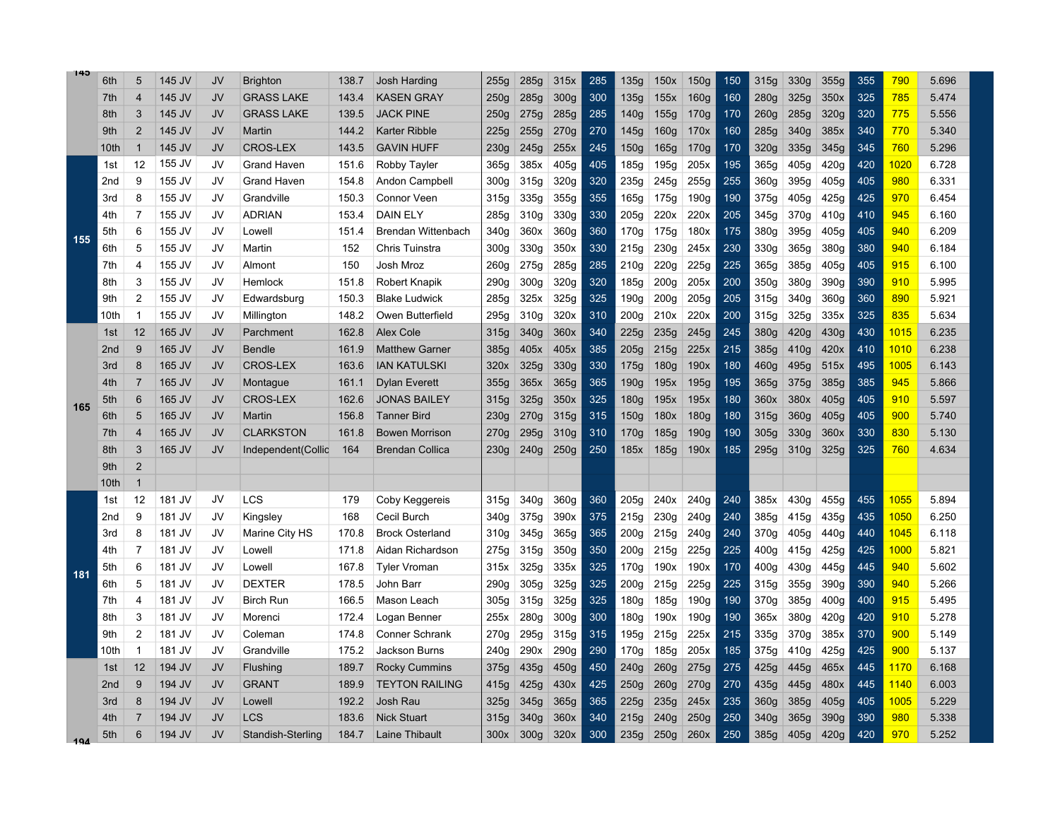| 145 | 6th             | $\overline{5}$          | 145 JV | JV | <b>Brighton</b>    | 138.7 | Josh Harding              | 255g             | 285g             | 315x             | 285 | 135g             | 150x             | <b>150g</b>      | 150 | 315g | 330g             | 355g | 355 | 790  | 5.696 |
|-----|-----------------|-------------------------|--------|----|--------------------|-------|---------------------------|------------------|------------------|------------------|-----|------------------|------------------|------------------|-----|------|------------------|------|-----|------|-------|
|     | 7th             | $\overline{4}$          | 145 JV | JV | <b>GRASS LAKE</b>  | 143.4 | <b>KASEN GRAY</b>         | 250g             | 285g             | 300g             | 300 | 135g             | 155x             | 160 <sub>g</sub> | 160 | 280g | 325g             | 350x | 325 | 785  | 5.474 |
|     | 8th             | 3                       | 145 JV | JV | <b>GRASS LAKE</b>  | 139.5 | <b>JACK PINE</b>          | 250g             | 275g             | 285g             | 285 | 140g             | 155g             | 170g             | 170 | 260g | 285g             | 320g | 320 | 775  | 5.556 |
|     | 9th             | $\overline{2}$          | 145 JV | JV | Martin             | 144.2 | Karter Ribble             | 225g             | 255g             | 270g             | 270 | 145g             | 160 <sub>g</sub> | 170x             | 160 | 285g | 340g             | 385x | 340 | 770  | 5.340 |
|     | 10th            | $\overline{1}$          | 145 JV | JV | <b>CROS-LEX</b>    | 143.5 | <b>GAVIN HUFF</b>         | 230g             | 245g             | 255x             | 245 | 150 <sub>g</sub> | 165g             | 170g             | 170 | 320g | 335g             | 345g | 345 | 760  | 5.296 |
|     | 1st             | 12                      | 155 JV | JV | <b>Grand Haven</b> | 151.6 | Robby Tayler              | 365g             | 385x             | 405g             | 405 | 185g             | 195g             | 205x             | 195 | 365g | 405g             | 420g | 420 | 1020 | 6.728 |
|     | 2nd             | 9                       | 155 JV | JV | <b>Grand Haven</b> | 154.8 | Andon Campbell            | 300 <sub>g</sub> | 315g             | 320g             | 320 | 235g             | 245g             | 255g             | 255 | 360g | 395g             | 405g | 405 | 980  | 6.331 |
|     | 3rd             | 8                       | 155 JV | JV | Grandville         | 150.3 | <b>Connor Veen</b>        | 315g             | 335g             | 355g             | 355 | 165a             | 175q             | 190g             | 190 | 375g | 405g             | 425g | 425 | 970  | 6.454 |
|     | 4th             | $\overline{7}$          | 155 JV | JV | <b>ADRIAN</b>      | 153.4 | <b>DAIN ELY</b>           | 285g             | 310g             | 330g             | 330 | 205g             | 220x             | 220x             | 205 | 345g | 370g             | 410g | 410 | 945  | 6.160 |
| 155 | 5th             | 6                       | 155 JV | JV | Lowell             | 151.4 | <b>Brendan Wittenbach</b> | 340g             | 360x             | 360 <sub>g</sub> | 360 | 170g             | 175g             | 180x             | 175 | 380g | 395g             | 405g | 405 | 940  | 6.209 |
|     | 6th             | 5                       | 155 JV | JV | Martin             | 152   | Chris Tuinstra            | 300g             | 330g             | 350x             | 330 | 215g             | 230g             | 245x             | 230 | 330g | 365g             | 380g | 380 | 940  | 6.184 |
|     | 7th             | $\overline{4}$          | 155 JV | JV | Almont             | 150   | Josh Mroz                 | 260g             | 275g             | 285g             | 285 | 210g             | 220g             | 225g             | 225 | 365g | 385g             | 405g | 405 | 915  | 6.100 |
|     | 8th             | 3                       | 155 JV | JV | Hemlock            | 151.8 | Robert Knapik             | 290g             | 300 <sub>g</sub> | 320g             | 320 | 185g             | 200 <sub>g</sub> | 205x             | 200 | 350g | 380g             | 390g | 390 | 910  | 5.995 |
|     | 9th             | $\overline{2}$          | 155 JV | JV | Edwardsburg        | 150.3 | <b>Blake Ludwick</b>      | 285g             | 325x             | 325g             | 325 | 190g             | 200q             | 205g             | 205 | 315g | 340g             | 360g | 360 | 890  | 5.921 |
|     | 10th            | -1                      | 155 JV | JV | Millington         | 148.2 | Owen Butterfield          | 295g             | 310g             | 320x             | 310 | 200q             | 210x             | 220x             | 200 | 315g | 325g             | 335x | 325 | 835  | 5.634 |
|     | 1st             | 12                      | 165 JV | JV | Parchment          | 162.8 | <b>Alex Cole</b>          | 315g             | 340g             | 360x             | 340 | 225g             | 235q             | 245g             | 245 | 380g | 420g             | 430g | 430 | 1015 | 6.235 |
|     | 2 <sub>nd</sub> | 9                       | 165 JV | JV | <b>Bendle</b>      | 161.9 | <b>Matthew Garner</b>     | 385g             | 405x             | 405x             | 385 | 205g             | 215g             | 225x             | 215 | 385g | 410g             | 420x | 410 | 1010 | 6.238 |
|     | 3rd             | 8                       | 165 JV | JV | <b>CROS-LEX</b>    | 163.6 | <b>IAN KATULSKI</b>       | 320x             | 325g             | 330g             | 330 | 175g             | 180 <sub>g</sub> | 190x             | 180 | 460g | 495g             | 515x | 495 | 1005 | 6.143 |
|     | 4th             | 7                       | 165 JV | JV | Montague           | 161.1 | <b>Dylan Everett</b>      | 355g             | 365x             | 365g             | 365 | 190g             | 195x             | 195g             | 195 | 365g | 375g             | 385g | 385 | 945  | 5.866 |
| 165 | 5th             | 6                       | 165 JV | JV | <b>CROS-LEX</b>    | 162.6 | <b>JONAS BAILEY</b>       | 315g             | 325g             | 350x             | 325 | 180g             | 195x             | 195x             | 180 | 360x | 380x             | 405g | 405 | 910  | 5.597 |
|     | 6th             | 5                       | 165 JV | JV | Martin             | 156.8 | <b>Tanner Bird</b>        | 230g             | 270g             | 315g             | 315 | 150g             | 180x             | <b>180g</b>      | 180 | 315g | 360g             | 405g | 405 | 900  | 5.740 |
|     | 7th             | $\overline{4}$          | 165 JV | JV | <b>CLARKSTON</b>   | 161.8 | <b>Bowen Morrison</b>     | 270g             | 295g             | 310g             | 310 | 170g             | 185g             | 190g             | 190 | 305g | 330g             | 360x | 330 | 830  | 5.130 |
|     | 8th             | 3                       | 165 JV | JV | Independent(Collic | 164   | <b>Brendan Collica</b>    | 230g             | 240g             | 250g             | 250 | 185x             | 185g             | 190x             | 185 | 295g | 310g             | 325g | 325 | 760  | 4.634 |
|     | 9th             | $\overline{2}$          |        |    |                    |       |                           |                  |                  |                  |     |                  |                  |                  |     |      |                  |      |     |      |       |
|     | 10th            | $\overline{\mathbf{1}}$ |        |    |                    |       |                           |                  |                  |                  |     |                  |                  |                  |     |      |                  |      |     |      |       |
|     | 1st             | 12                      | 181 JV | JV | LCS                | 179   | Coby Keggereis            | 315g             | 340g             | 360g             | 360 | 205g             | 240x             | 240g             | 240 | 385x | 430g             | 455g | 455 | 1055 | 5.894 |
|     | 2nd             | 9                       | 181 JV | JV | Kingsley           | 168   | Cecil Burch               | 340g             | 375g             | 390x             | 375 | 215q             | 230q             | 240g             | 240 | 385q | 415g             | 435g | 435 | 1050 | 6.250 |
|     | 3rd             | 8                       | 181 JV | JV | Marine City HS     | 170.8 | <b>Brock Osterland</b>    | 310g             | 345g             | 365g             | 365 | 200 <sub>g</sub> | 215g             | 240g             | 240 | 370g | 405 <sub>g</sub> | 440g | 440 | 1045 | 6.118 |
|     | 4th             | $\overline{7}$          | 181 JV | JV | Lowell             | 171.8 | Aidan Richardson          | 275g             | 315g             | 350g             | 350 | 200 <sub>g</sub> | 215g             | 225g             | 225 | 400g | 415g             | 425g | 425 | 1000 | 5.821 |
| 181 | 5th             | 6                       | 181 JV | JV | Lowell             | 167.8 | <b>Tyler Vroman</b>       | 315x             | 325g             | 335x             | 325 | 170g             | 190x             | 190x             | 170 | 400g | 430g             | 445g | 445 | 940  | 5.602 |
|     | 6th             | 5                       | 181 JV | JV | <b>DEXTER</b>      | 178.5 | John Barr                 | 290g             | 305g             | 325g             | 325 | 200g             | 215g             | 225g             | 225 | 315g | 355g             | 390g | 390 | 940  | 5.266 |
|     | 7th             | 4                       | 181 JV | JV | <b>Birch Run</b>   | 166.5 | Mason Leach               | 305g             | 315g             | 325g             | 325 | 180g             | 185g             | 190g             | 190 | 370g | 385g             | 400g | 400 | 915  | 5.495 |
|     | 8th             | 3                       | 181 JV | JV | Morenci            | 172.4 | Logan Benner              | 255x             | 280g             | 300 <sub>g</sub> | 300 | 180g             | 190x             | 190g             | 190 | 365x | 380g             | 420g | 420 | 910  | 5.278 |
|     | 9th             | $\overline{2}$          | 181 JV | JV | Coleman            | 174.8 | <b>Conner Schrank</b>     | 270g             | 295q             | 315g             | 315 | 195g             | 215q             | 225x             | 215 | 335g | 370g             | 385x | 370 | 900  | 5.149 |
|     | 10th            | -1                      | 181 JV | JV | Grandville         | 175.2 | <b>Jackson Burns</b>      | 240g             | 290x             | 290g             | 290 | 170g             | 185q             | 205x             | 185 | 375g | 410g             | 425g | 425 | 900  | 5.137 |
|     | 1st             | 12                      | 194 JV | JV | Flushing           | 189.7 | <b>Rocky Cummins</b>      | 375g             | 435g             | 450g             | 450 | 240g             | 260 <sub>g</sub> | 275g             | 275 | 425g | 445g             | 465x | 445 | 1170 | 6.168 |
|     | 2 <sub>nd</sub> | 9                       | 194 JV | JV | <b>GRANT</b>       | 189.9 | <b>TEYTON RAILING</b>     | 415g             | 425g             | 430x             | 425 | 250g             | 260 <sub>g</sub> | 270g             | 270 | 435g | 445g             | 480x | 445 | 1140 | 6.003 |
|     | 3rd             | 8                       | 194 JV | JV | Lowell             | 192.2 | Josh Rau                  | 325g             | 345g             | 365g             | 365 | 225g             | 235g             | 245x             | 235 | 360g | 385g             | 405g | 405 | 1005 | 5.229 |
|     | 4th             | 7                       | 194 JV | JV | LCS                | 183.6 | <b>Nick Stuart</b>        | 315g             | 340g             | 360x             | 340 | 215g             | 240g             | 250g             | 250 | 340g | 365g             | 390g | 390 | 980  | 5.338 |
| 101 | 5th             | 6                       | 194 JV | JV | Standish-Sterling  | 184.7 | Laine Thibault            | 300x             | 300q             | 320x             | 300 | 235q             | 250q             | 260x             | 250 | 385g | 405q             | 420q | 420 | 970  | 5.252 |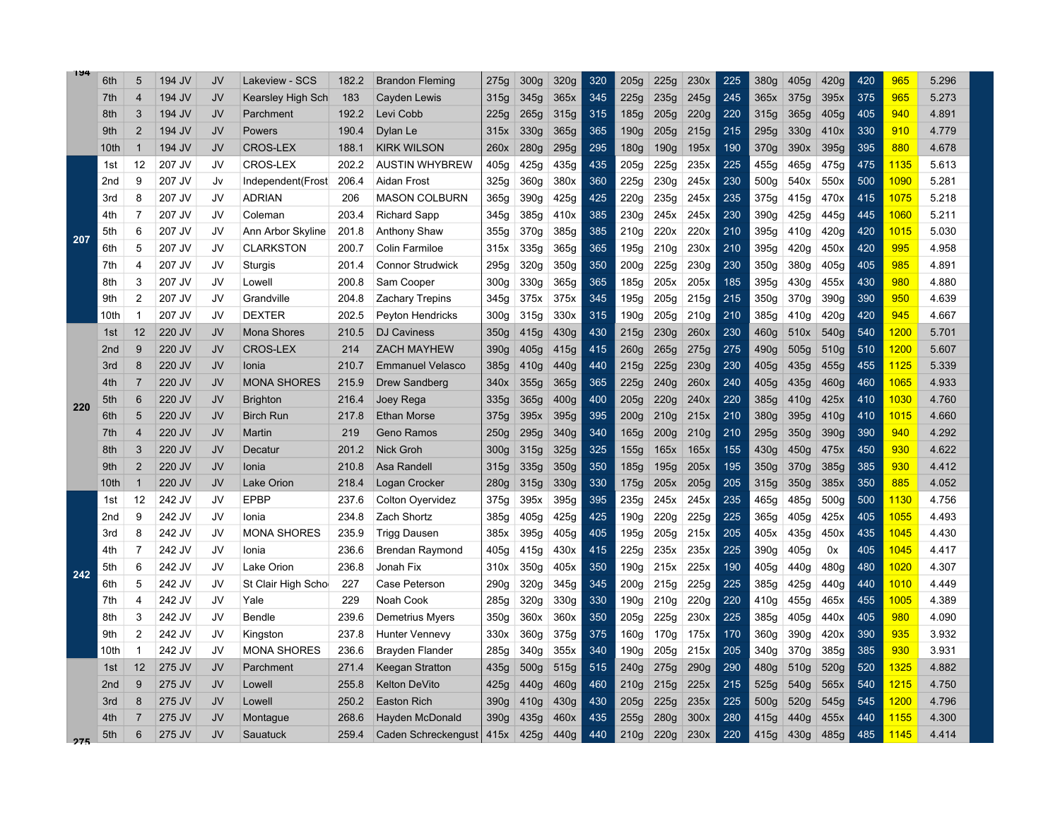| 194 | 6th             | 5              | 194 JV | JV        | Lakeview - SCS     | 182.2 | <b>Brandon Fleming</b>     | 275g             | 300 <sub>g</sub> | 320g | 320 | 205g             | 225g             | 230x | 225 | 380g             | 405g             | 420g             | 420 | 965               | 5.296 |
|-----|-----------------|----------------|--------|-----------|--------------------|-------|----------------------------|------------------|------------------|------|-----|------------------|------------------|------|-----|------------------|------------------|------------------|-----|-------------------|-------|
|     | 7th             | $\overline{4}$ | 194 JV | JV        | Kearsley High Sch  | 183   | Cayden Lewis               | 315g             | 345g             | 365x | 345 | 225g             | 235g             | 245g | 245 | 365x             | 375g             | 395x             | 375 | 965               | 5.273 |
|     | 8th             | 3              | 194 JV | JV        | Parchment          | 192.2 | Levi Cobb                  | 225g             | 265g             | 315g | 315 | 185g             | 205g             | 220g | 220 | 315g             | 365g             | 405q             | 405 | 940               | 4.891 |
|     | 9th             | $\overline{2}$ | 194 JV | JV        | Powers             | 190.4 | Dylan Le                   | 315x             | 330g             | 365g | 365 | 190g             | 205g             | 215g | 215 | 295g             | 330g             | 410x             | 330 | 910               | 4.779 |
|     | 10th            | $\overline{1}$ | 194 JV | JV        | <b>CROS-LEX</b>    | 188.1 | <b>KIRK WILSON</b>         | 260x             | 280g             | 295g | 295 | 180 <sub>g</sub> | 190 <sub>g</sub> | 195x | 190 | 370g             | 390x             | 395g             | 395 | 880               | 4.678 |
|     | 1st             | 12             | 207 JV | JV        | <b>CROS-LEX</b>    | 202.2 | AUSTIN WHYBREW             | 405g             | 425g             | 435g | 435 | 205g             | 225g             | 235x | 225 | 455g             | 465g             | 475g             | 475 | 1135              | 5.613 |
|     | 2 <sub>nd</sub> | 9              | 207 JV | Jv        | Independent(Frost) | 206.4 | Aidan Frost                | 325g             | 360g             | 380x | 360 | 225g             | 230g             | 245x | 230 | 500g             | 540x             | 550x             | 500 | 1090              | 5.281 |
|     | 3rd             | 8              | 207 JV | JV        | <b>ADRIAN</b>      | 206   | <b>MASON COLBURN</b>       | 365g             | 390 <sub>a</sub> | 425g | 425 | 220q             | 235q             | 245x | 235 | 375q             | 415g             | 470x             | 415 | 1075              | 5.218 |
|     | 4th             | $\overline{7}$ | 207 JV | JV        | Coleman            | 203.4 | <b>Richard Sapp</b>        | 345g             | 385g             | 410x | 385 | 230g             | 245x             | 245x | 230 | 390g             | 425g             | 445g             | 445 | 1060              | 5.211 |
| 207 | 5th             | 6              | 207 JV | JV        | Ann Arbor Skyline  | 201.8 | Anthony Shaw               | 355g             | 370g             | 385g | 385 | 210g             | 220x             | 220x | 210 | 395g             | 410g             | 420g             | 420 | 1015              | 5.030 |
|     | 6th             | 5              | 207 JV | JV        | <b>CLARKSTON</b>   | 200.7 | <b>Colin Farmiloe</b>      | 315x             | 335g             | 365g | 365 | 195g             | 210g             | 230x | 210 | 395g             | 420g             | 450x             | 420 | 995               | 4.958 |
|     | 7th             | 4              | 207 JV | JV        | Sturgis            | 201.4 | <b>Connor Strudwick</b>    | 295g             | 320g             | 350g | 350 | 200g             | 225g             | 230g | 230 | 350g             | 380g             | 405 <sub>g</sub> | 405 | 985               | 4.891 |
|     | 8th             | 3              | 207 JV | JV        | Lowell             | 200.8 | Sam Cooper                 | 300 <sub>g</sub> | 330g             | 365g | 365 | 185g             | 205x             | 205x | 185 | 395g             | 430g             | 455x             | 430 | 980               | 4.880 |
|     | 9th             | $\overline{c}$ | 207 JV | JV        | Grandville         | 204.8 | <b>Zachary Trepins</b>     | 345q             | 375x             | 375x | 345 | 195g             | 205g             | 215g | 215 | 350g             | 370g             | 390g             | 390 | 950               | 4.639 |
|     | 10th            | -1             | 207 JV | JV        | <b>DEXTER</b>      | 202.5 | <b>Peyton Hendricks</b>    | 300q             | 315g             | 330x | 315 | 190g             | 205g             | 210g | 210 | 385q             | 410q             | 420q             | 420 | 945               | 4.667 |
|     | 1st             | 12             | 220 JV | JV        | <b>Mona Shores</b> | 210.5 | <b>DJ Caviness</b>         | 350g             | 415g             | 430g | 430 | 215g             | 230q             | 260x | 230 | 460g             | 510x             | 540g             | 540 | 1200              | 5.701 |
|     | 2 <sub>nd</sub> | 9              | 220 JV | JV        | <b>CROS-LEX</b>    | 214   | <b>ZACH MAYHEW</b>         | 390g             | 405g             | 415g | 415 | 260g             | 265g             | 275g | 275 | 490g             | 505 <sub>g</sub> | 510 <sub>g</sub> | 510 | 1200              | 5.607 |
|     | 3rd             | 8              | 220 JV | JV        | Ionia              | 210.7 | <b>Emmanuel Velasco</b>    | 385g             | 410g             | 440g | 440 | 215g             | 225g             | 230g | 230 | 405g             | 435g             | 455g             | 455 | 1125              | 5.339 |
|     | 4th             | 7              | 220 JV | JV        | <b>MONA SHORES</b> | 215.9 | Drew Sandberg              | 340x             | 355g             | 365g | 365 | 225g             | 240g             | 260x | 240 | 405g             | 435g             | 460g             | 460 | 1065              | 4.933 |
| 220 | 5th             | 6              | 220 JV | JV        | <b>Brighton</b>    | 216.4 | Joey Rega                  | 335g             | 365g             | 400g | 400 | 205g             | 220g             | 240x | 220 | 385g             | 410g             | 425x             | 410 | <mark>1030</mark> | 4.760 |
|     | 6th             | 5              | 220 JV | JV        | <b>Birch Run</b>   | 217.8 | <b>Ethan Morse</b>         | 375g             | 395x             | 395g | 395 | 200 <sub>g</sub> | 210g             | 215x | 210 | 380q             | 395g             | 410g             | 410 | 1015              | 4.660 |
|     | 7th             | $\overline{4}$ | 220 JV | <b>JV</b> | Martin             | 219   | <b>Geno Ramos</b>          | 250g             | 295g             | 340g | 340 | 165g             | 200q             | 210g | 210 | 295q             | 350g             | 390g             | 390 | 940               | 4.292 |
|     | 8th             | 3              | 220 JV | JV        | Decatur            | 201.2 | <b>Nick Groh</b>           | 300 <sub>g</sub> | 315g             | 325g | 325 | 155g             | 165x             | 165x | 155 | 430g             | 450g             | 475x             | 450 | 930               | 4.622 |
|     | 9th             | $\overline{2}$ | 220 JV | JV        | Ionia              | 210.8 | Asa Randell                | 315g             | 335g             | 350g | 350 | 185g             | 195g             | 205x | 195 | 350g             | 370g             | 385g             | 385 | 930               | 4.412 |
|     | 10th            | -1             | 220 JV | JV        | <b>Lake Orion</b>  | 218.4 | Logan Crocker              | 280g             | 315g             | 330g | 330 | 175g             | 205x             | 205g | 205 | 315g             | 350g             | 385x             | 350 | 885               | 4.052 |
|     | 1st             | 12             | 242 JV | JV        | <b>EPBP</b>        | 237.6 | Colton Oyervidez           | 375g             | 395x             | 395g | 395 | 235g             | 245x             | 245x | 235 | 465g             | 485g             | 500 <sub>g</sub> | 500 | 1130              | 4.756 |
|     | 2 <sub>nd</sub> | 9              | 242 JV | JV        | Ionia              | 234.8 | Zach Shortz                | 385g             | 405g             | 425g | 425 | 190g             | 220q             | 225g | 225 | 365q             | 405g             | 425x             | 405 | 1055              | 4.493 |
|     | 3rd             | 8              | 242 JV | JV        | <b>MONA SHORES</b> | 235.9 | <b>Trigg Dausen</b>        | 385x             | 395g             | 405g | 405 | 195g             | 205g             | 215x | 205 | 405x             | 435g             | 450x             | 435 | 1045              | 4.430 |
|     | 4th             | $\overline{7}$ | 242 JV | JV        | Ionia              | 236.6 | <b>Brendan Raymond</b>     | 405g             | 415g             | 430x | 415 | 225g             | 235x             | 235x | 225 | 390g             | 405g             | 0x               | 405 | 1045              | 4.417 |
| 242 | 5th             | 6              | 242 JV | JV        | Lake Orion         | 236.8 | Jonah Fix                  | 310x             | 350g             | 405x | 350 | 190 <sub>g</sub> | 215x             | 225x | 190 | 405g             | 440g             | 480q             | 480 | 1020              | 4.307 |
|     | 6th             | 5              | 242 JV | JV        | St Clair High Scho | 227   | Case Peterson              | 290g             | 320g             | 345g | 345 | 200g             | 215g             | 225g | 225 | 385g             | 425g             | 440g             | 440 | 1010              | 4.449 |
|     | 7th             | 4              | 242 JV | JV        | Yale               | 229   | Noah Cook                  | 285g             | 320g             | 330g | 330 | 190g             | 210g             | 220g | 220 | 410g             | 455g             | 465x             | 455 | 1005              | 4.389 |
|     | 8th             | 3              | 242 JV | JV        | Bendle             | 239.6 | Demetrius Myers            | 350g             | 360x             | 360x | 350 | 205g             | 225g             | 230x | 225 | 385g             | 405g             | 440x             | 405 | 980               | 4.090 |
|     | 9th             | $\overline{c}$ | 242 JV | JV        | Kingston           | 237.8 | <b>Hunter Vennevy</b>      | 330x             | 360g             | 375g | 375 | 160g             | 170g             | 175x | 170 | 360q             | 390g             | 420x             | 390 | 935               | 3.932 |
|     | 10th            | 1              | 242 JV | JV        | <b>MONA SHORES</b> | 236.6 | <b>Brayden Flander</b>     | 285g             | 340g             | 355x | 340 | 190 <sub>g</sub> | 205g             | 215x | 205 | 340g             | 370g             | 385q             | 385 | 930               | 3.931 |
|     | 1st             | 12             | 275 JV | JV        | Parchment          | 271.4 | Keegan Stratton            | 435g             | 500 <sub>g</sub> | 515g | 515 | 240g             | 275g             | 290g | 290 | 480g             | 510g             | 520g             | 520 | 1325              | 4.882 |
|     | 2 <sub>nd</sub> | 9              | 275 JV | JV        | Lowell             | 255.8 | <b>Kelton DeVito</b>       | 425g             | 440g             | 460g | 460 | 210g             | 215g             | 225x | 215 | 525g             | 540g             | 565x             | 540 | 1215              | 4.750 |
|     | 3rd             | 8              | 275 JV | JV        | Lowell             | 250.2 | <b>Easton Rich</b>         | 390g             | 410g             | 430g | 430 | 205g             | 225g             | 235x | 225 | 500 <sub>g</sub> | 520g             | 545g             | 545 | 1200              | 4.796 |
|     | 4th             |                | 275 JV | JV        | Montague           | 268.6 | Hayden McDonald            | 390g             | 435g             | 460x | 435 | 255g             | 280g             | 300x | 280 | 415g             | 440g             | 455x             | 440 | 1155              | 4.300 |
| 275 | 5th             | 6              | 275 JV | JV        | Sauatuck           | 259.4 | Caden Schreckengust   415x |                  | 425g             | 440g | 440 | 210g             | 220q             | 230x | 220 | 415q             | 430q             | 485q             | 485 | 1145              | 4.414 |